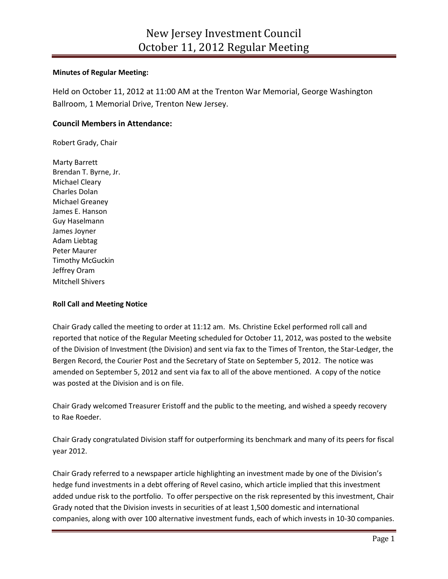### **Minutes of Regular Meeting:**

Held on October 11, 2012 at 11:00 AM at the Trenton War Memorial, George Washington Ballroom, 1 Memorial Drive, Trenton New Jersey.

# **Council Members in Attendance:**

Robert Grady, Chair

Marty Barrett Brendan T. Byrne, Jr. Michael Cleary Charles Dolan Michael Greaney James E. Hanson Guy Haselmann James Joyner Adam Liebtag Peter Maurer Timothy McGuckin Jeffrey Oram Mitchell Shivers

# **Roll Call and Meeting Notice**

Chair Grady called the meeting to order at 11:12 am. Ms. Christine Eckel performed roll call and reported that notice of the Regular Meeting scheduled for October 11, 2012, was posted to the website of the Division of Investment (the Division) and sent via fax to the Times of Trenton, the Star-Ledger, the Bergen Record, the Courier Post and the Secretary of State on September 5, 2012. The notice was amended on September 5, 2012 and sent via fax to all of the above mentioned. A copy of the notice was posted at the Division and is on file.

Chair Grady welcomed Treasurer Eristoff and the public to the meeting, and wished a speedy recovery to Rae Roeder.

Chair Grady congratulated Division staff for outperforming its benchmark and many of its peers for fiscal year 2012.

Chair Grady referred to a newspaper article highlighting an investment made by one of the Division's hedge fund investments in a debt offering of Revel casino, which article implied that this investment added undue risk to the portfolio. To offer perspective on the risk represented by this investment, Chair Grady noted that the Division invests in securities of at least 1,500 domestic and international companies, along with over 100 alternative investment funds, each of which invests in 10-30 companies.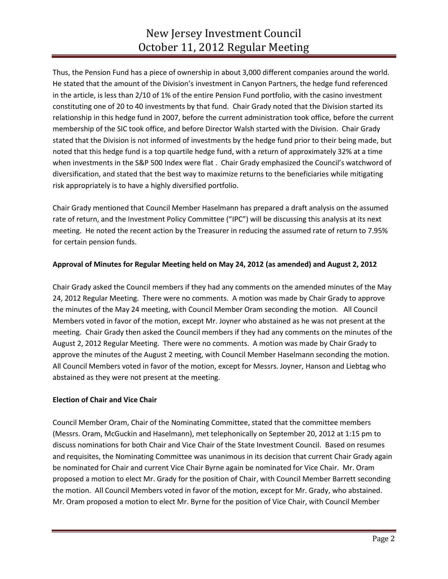Thus, the Pension Fund has a piece of ownership in about 3,000 different companies around the world. He stated that the amount of the Division's investment in Canyon Partners, the hedge fund referenced in the article, is less than 2/10 of 1% of the entire Pension Fund portfolio, with the casino investment constituting one of 20 to 40 investments by that fund. Chair Grady noted that the Division started its relationship in this hedge fund in 2007, before the current administration took office, before the current membership of the SIC took office, and before Director Walsh started with the Division. Chair Grady stated that the Division is not informed of investments by the hedge fund prior to their being made, but noted that this hedge fund is a top quartile hedge fund, with a return of approximately 32% at a time when investments in the S&P 500 Index were flat . Chair Grady emphasized the Council's watchword of diversification, and stated that the best way to maximize returns to the beneficiaries while mitigating risk appropriately is to have a highly diversified portfolio.

Chair Grady mentioned that Council Member Haselmann has prepared a draft analysis on the assumed rate of return, and the Investment Policy Committee ("IPC") will be discussing this analysis at its next meeting. He noted the recent action by the Treasurer in reducing the assumed rate of return to 7.95% for certain pension funds.

# **Approval of Minutes for Regular Meeting held on May 24, 2012 (as amended) and August 2, 2012**

Chair Grady asked the Council members if they had any comments on the amended minutes of the May 24, 2012 Regular Meeting. There were no comments. A motion was made by Chair Grady to approve the minutes of the May 24 meeting, with Council Member Oram seconding the motion. All Council Members voted in favor of the motion, except Mr. Joyner who abstained as he was not present at the meeting. Chair Grady then asked the Council members if they had any comments on the minutes of the August 2, 2012 Regular Meeting. There were no comments. A motion was made by Chair Grady to approve the minutes of the August 2 meeting, with Council Member Haselmann seconding the motion. All Council Members voted in favor of the motion, except for Messrs. Joyner, Hanson and Liebtag who abstained as they were not present at the meeting.

# **Election of Chair and Vice Chair**

Council Member Oram, Chair of the Nominating Committee, stated that the committee members (Messrs. Oram, McGuckin and Haselmann), met telephonically on September 20, 2012 at 1:15 pm to discuss nominations for both Chair and Vice Chair of the State Investment Council. Based on resumes and requisites, the Nominating Committee was unanimous in its decision that current Chair Grady again be nominated for Chair and current Vice Chair Byrne again be nominated for Vice Chair. Mr. Oram proposed a motion to elect Mr. Grady for the position of Chair, with Council Member Barrett seconding the motion. All Council Members voted in favor of the motion, except for Mr. Grady, who abstained. Mr. Oram proposed a motion to elect Mr. Byrne for the position of Vice Chair, with Council Member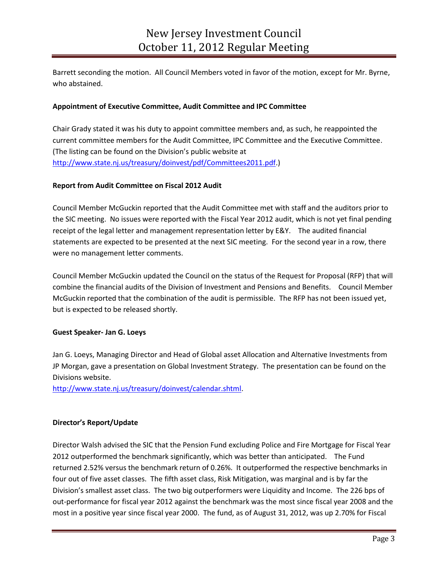Barrett seconding the motion. All Council Members voted in favor of the motion, except for Mr. Byrne, who abstained.

### **Appointment of Executive Committee, Audit Committee and IPC Committee**

Chair Grady stated it was his duty to appoint committee members and, as such, he reappointed the current committee members for the Audit Committee, IPC Committee and the Executive Committee. (The listing can be found on the Division's public website at [http://www.state.nj.us/treasury/doinvest/pdf/Committees2011.pdf.](http://www.state.nj.us/treasury/doinvest/pdf/Committees2011.pdf))

#### **Report from Audit Committee on Fiscal 2012 Audit**

Council Member McGuckin reported that the Audit Committee met with staff and the auditors prior to the SIC meeting. No issues were reported with the Fiscal Year 2012 audit, which is not yet final pending receipt of the legal letter and management representation letter by E&Y. The audited financial statements are expected to be presented at the next SIC meeting. For the second year in a row, there were no management letter comments.

Council Member McGuckin updated the Council on the status of the Request for Proposal (RFP) that will combine the financial audits of the Division of Investment and Pensions and Benefits. Council Member McGuckin reported that the combination of the audit is permissible. The RFP has not been issued yet, but is expected to be released shortly.

#### **Guest Speaker- Jan G. Loeys**

Jan G. Loeys, Managing Director and Head of Global asset Allocation and Alternative Investments from JP Morgan, gave a presentation on Global Investment Strategy. The presentation can be found on the Divisions website.

[http://www.state.nj.us/treasury/doinvest/calendar.shtml.](http://www.state.nj.us/treasury/doinvest/calendar.shtml)

### **Director's Report/Update**

Director Walsh advised the SIC that the Pension Fund excluding Police and Fire Mortgage for Fiscal Year 2012 outperformed the benchmark significantly, which was better than anticipated. The Fund returned 2.52% versus the benchmark return of 0.26%. It outperformed the respective benchmarks in four out of five asset classes. The fifth asset class, Risk Mitigation, was marginal and is by far the Division's smallest asset class. The two big outperformers were Liquidity and Income. The 226 bps of out-performance for fiscal year 2012 against the benchmark was the most since fiscal year 2008 and the most in a positive year since fiscal year 2000. The fund, as of August 31, 2012, was up 2.70% for Fiscal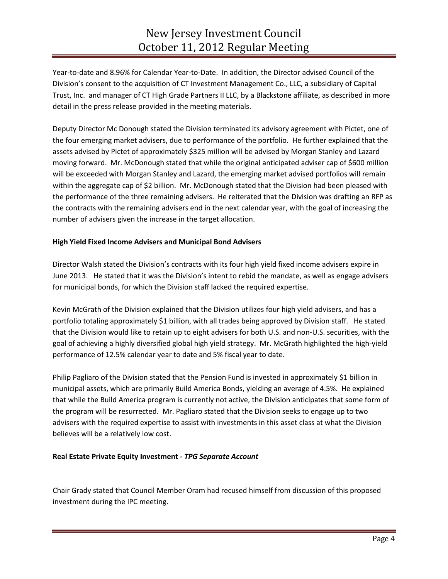Year-to-date and 8.96% for Calendar Year-to-Date. In addition, the Director advised Council of the Division's consent to the acquisition of CT Investment Management Co., LLC, a subsidiary of Capital Trust, Inc. and manager of CT High Grade Partners II LLC, by a Blackstone affiliate, as described in more detail in the press release provided in the meeting materials.

Deputy Director Mc Donough stated the Division terminated its advisory agreement with Pictet, one of the four emerging market advisers, due to performance of the portfolio. He further explained that the assets advised by Pictet of approximately \$325 million will be advised by Morgan Stanley and Lazard moving forward. Mr. McDonough stated that while the original anticipated adviser cap of \$600 million will be exceeded with Morgan Stanley and Lazard, the emerging market advised portfolios will remain within the aggregate cap of \$2 billion. Mr. McDonough stated that the Division had been pleased with the performance of the three remaining advisers. He reiterated that the Division was drafting an RFP as the contracts with the remaining advisers end in the next calendar year, with the goal of increasing the number of advisers given the increase in the target allocation.

# **High Yield Fixed Income Advisers and Municipal Bond Advisers**

Director Walsh stated the Division's contracts with its four high yield fixed income advisers expire in June 2013. He stated that it was the Division's intent to rebid the mandate, as well as engage advisers for municipal bonds, for which the Division staff lacked the required expertise.

Kevin McGrath of the Division explained that the Division utilizes four high yield advisers, and has a portfolio totaling approximately \$1 billion, with all trades being approved by Division staff. He stated that the Division would like to retain up to eight advisers for both U.S. and non-U.S. securities, with the goal of achieving a highly diversified global high yield strategy. Mr. McGrath highlighted the high-yield performance of 12.5% calendar year to date and 5% fiscal year to date.

Philip Pagliaro of the Division stated that the Pension Fund is invested in approximately \$1 billion in municipal assets, which are primarily Build America Bonds, yielding an average of 4.5%. He explained that while the Build America program is currently not active, the Division anticipates that some form of the program will be resurrected. Mr. Pagliaro stated that the Division seeks to engage up to two advisers with the required expertise to assist with investments in this asset class at what the Division believes will be a relatively low cost.

### **Real Estate Private Equity Investment -** *TPG Separate Account*

Chair Grady stated that Council Member Oram had recused himself from discussion of this proposed investment during the IPC meeting.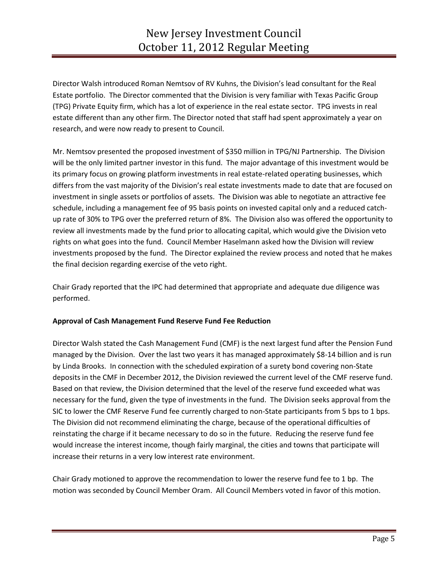Director Walsh introduced Roman Nemtsov of RV Kuhns, the Division's lead consultant for the Real Estate portfolio. The Director commented that the Division is very familiar with Texas Pacific Group (TPG) Private Equity firm, which has a lot of experience in the real estate sector. TPG invests in real estate different than any other firm. The Director noted that staff had spent approximately a year on research, and were now ready to present to Council.

Mr. Nemtsov presented the proposed investment of \$350 million in TPG/NJ Partnership. The Division will be the only limited partner investor in this fund. The major advantage of this investment would be its primary focus on growing platform investments in real estate-related operating businesses, which differs from the vast majority of the Division's real estate investments made to date that are focused on investment in single assets or portfolios of assets. The Division was able to negotiate an attractive fee schedule, including a management fee of 95 basis points on invested capital only and a reduced catchup rate of 30% to TPG over the preferred return of 8%. The Division also was offered the opportunity to review all investments made by the fund prior to allocating capital, which would give the Division veto rights on what goes into the fund. Council Member Haselmann asked how the Division will review investments proposed by the fund. The Director explained the review process and noted that he makes the final decision regarding exercise of the veto right.

Chair Grady reported that the IPC had determined that appropriate and adequate due diligence was performed.

### **Approval of Cash Management Fund Reserve Fund Fee Reduction**

Director Walsh stated the Cash Management Fund (CMF) is the next largest fund after the Pension Fund managed by the Division. Over the last two years it has managed approximately \$8-14 billion and is run by Linda Brooks. In connection with the scheduled expiration of a surety bond covering non-State deposits in the CMF in December 2012, the Division reviewed the current level of the CMF reserve fund. Based on that review, the Division determined that the level of the reserve fund exceeded what was necessary for the fund, given the type of investments in the fund. The Division seeks approval from the SIC to lower the CMF Reserve Fund fee currently charged to non-State participants from 5 bps to 1 bps. The Division did not recommend eliminating the charge, because of the operational difficulties of reinstating the charge if it became necessary to do so in the future. Reducing the reserve fund fee would increase the interest income, though fairly marginal, the cities and towns that participate will increase their returns in a very low interest rate environment.

Chair Grady motioned to approve the recommendation to lower the reserve fund fee to 1 bp. The motion was seconded by Council Member Oram. All Council Members voted in favor of this motion.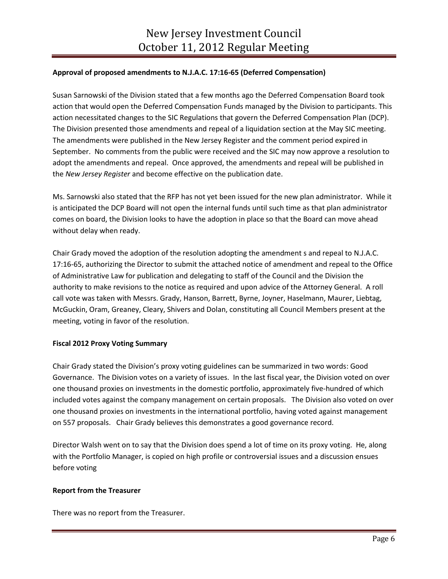### **Approval of proposed amendments to N.J.A.C. 17:16-65 (Deferred Compensation)**

Susan Sarnowski of the Division stated that a few months ago the Deferred Compensation Board took action that would open the Deferred Compensation Funds managed by the Division to participants. This action necessitated changes to the SIC Regulations that govern the Deferred Compensation Plan (DCP). The Division presented those amendments and repeal of a liquidation section at the May SIC meeting. The amendments were published in the New Jersey Register and the comment period expired in September. No comments from the public were received and the SIC may now approve a resolution to adopt the amendments and repeal. Once approved, the amendments and repeal will be published in the *New Jersey Register* and become effective on the publication date.

Ms. Sarnowski also stated that the RFP has not yet been issued for the new plan administrator. While it is anticipated the DCP Board will not open the internal funds until such time as that plan administrator comes on board, the Division looks to have the adoption in place so that the Board can move ahead without delay when ready.

Chair Grady moved the adoption of the resolution adopting the amendment s and repeal to N.J.A.C. 17:16-65, authorizing the Director to submit the attached notice of amendment and repeal to the Office of Administrative Law for publication and delegating to staff of the Council and the Division the authority to make revisions to the notice as required and upon advice of the Attorney General. A roll call vote was taken with Messrs. Grady, Hanson, Barrett, Byrne, Joyner, Haselmann, Maurer, Liebtag, McGuckin, Oram, Greaney, Cleary, Shivers and Dolan, constituting all Council Members present at the meeting, voting in favor of the resolution.

### **Fiscal 2012 Proxy Voting Summary**

Chair Grady stated the Division's proxy voting guidelines can be summarized in two words: Good Governance. The Division votes on a variety of issues. In the last fiscal year, the Division voted on over one thousand proxies on investments in the domestic portfolio, approximately five-hundred of which included votes against the company management on certain proposals. The Division also voted on over one thousand proxies on investments in the international portfolio, having voted against management on 557 proposals. Chair Grady believes this demonstrates a good governance record.

Director Walsh went on to say that the Division does spend a lot of time on its proxy voting. He, along with the Portfolio Manager, is copied on high profile or controversial issues and a discussion ensues before voting

### **Report from the Treasurer**

There was no report from the Treasurer.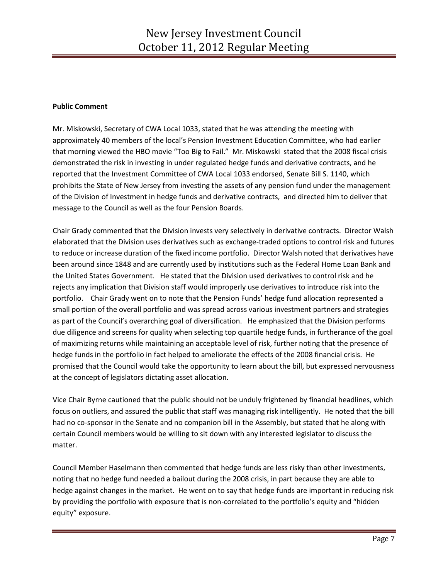# **Public Comment**

Mr. Miskowski, Secretary of CWA Local 1033, stated that he was attending the meeting with approximately 40 members of the local's Pension Investment Education Committee, who had earlier that morning viewed the HBO movie "Too Big to Fail." Mr. Miskowski stated that the 2008 fiscal crisis demonstrated the risk in investing in under regulated hedge funds and derivative contracts, and he reported that the Investment Committee of CWA Local 1033 endorsed, Senate Bill S. 1140, which prohibits the State of New Jersey from investing the assets of any pension fund under the management of the Division of Investment in hedge funds and derivative contracts, and directed him to deliver that message to the Council as well as the four Pension Boards.

Chair Grady commented that the Division invests very selectively in derivative contracts. Director Walsh elaborated that the Division uses derivatives such as exchange-traded options to control risk and futures to reduce or increase duration of the fixed income portfolio. Director Walsh noted that derivatives have been around since 1848 and are currently used by institutions such as the Federal Home Loan Bank and the United States Government. He stated that the Division used derivatives to control risk and he rejects any implication that Division staff would improperly use derivatives to introduce risk into the portfolio. Chair Grady went on to note that the Pension Funds' hedge fund allocation represented a small portion of the overall portfolio and was spread across various investment partners and strategies as part of the Council's overarching goal of diversification. He emphasized that the Division performs due diligence and screens for quality when selecting top quartile hedge funds, in furtherance of the goal of maximizing returns while maintaining an acceptable level of risk, further noting that the presence of hedge funds in the portfolio in fact helped to ameliorate the effects of the 2008 financial crisis. He promised that the Council would take the opportunity to learn about the bill, but expressed nervousness at the concept of legislators dictating asset allocation.

Vice Chair Byrne cautioned that the public should not be unduly frightened by financial headlines, which focus on outliers, and assured the public that staff was managing risk intelligently. He noted that the bill had no co-sponsor in the Senate and no companion bill in the Assembly, but stated that he along with certain Council members would be willing to sit down with any interested legislator to discuss the matter.

Council Member Haselmann then commented that hedge funds are less risky than other investments, noting that no hedge fund needed a bailout during the 2008 crisis, in part because they are able to hedge against changes in the market. He went on to say that hedge funds are important in reducing risk by providing the portfolio with exposure that is non-correlated to the portfolio's equity and "hidden equity" exposure.